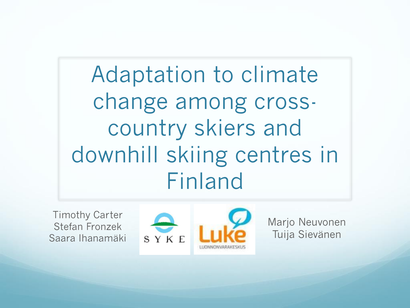Adaptation to climate change among crosscountry skiers and downhill skiing centres in Finland

Timothy Carter Stefan Fronzek Saara Ihanamäki



Marjo Neuvonen Tuija Sievänen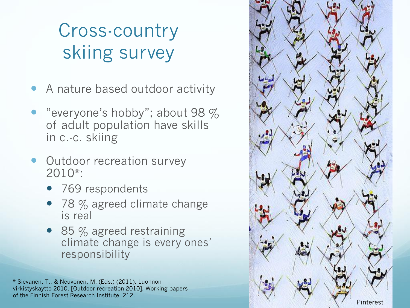## Cross -country skiing survey

- A nature based outdoor activity
- "everyone's hobby"; about 98  $%$ of adult population have skills in c. -c. skiing
- Outdoor recreation survey 2010\*:
	- 769 respondents
	- $978\%$  agreed climate change is real
	- 85 % agreed restraining climate change is every ones' responsibility

\* Sievänen, T., & Neuvonen, M. (Eds.) (2011). Luonnon virkistyskäyttö 2010. [Outdoor recreation 2010]. Working papers of the Finnish Forest Research Institute, 212.

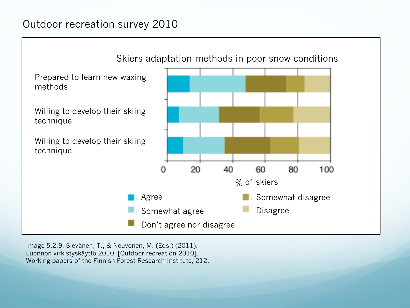#### Outdoor recreation survey 2010



Image 5.2.9. Sievänen, T., & Neuvonen, M. (Eds.) (2011). Luonnon virkistyskäyttö 2010. [Outdoor recreation 2010]. Working papers of the Finnish Forest Research Institute, 212.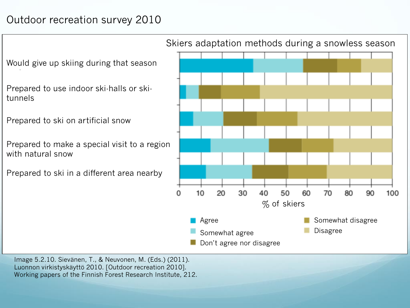### Outdoor recreation survey 2010

Would give up skiing during that season

Prepared to use indoor ski-halls or skitunnels

Prepared to ski on artificial snow

Prepared to make a special visit to a region with natural snow

Prepared to ski in a different area nearby



Image 5.2.10. Sievänen, T., & Neuvonen, M. (Eds.) (2011). Luonnon virkistyskäyttö 2010. [Outdoor recreation 2010]. Working papers of the Finnish Forest Research Institute, 212.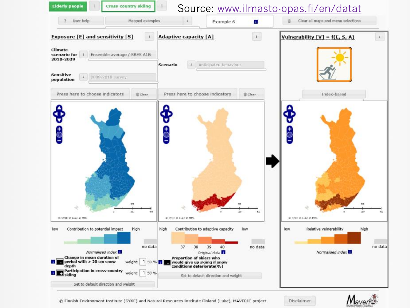

C Finnish Environment Institute (SYKE) and Natural Resources Institute Finland (Luke), MAVERIC project

Disclaimer

 $M$ averi $\mathbb{C}$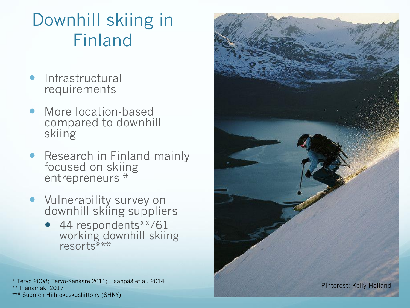### Downhill skiing in Finland

- Infrastructural requirements
- More location-based compared to downhill skiing
- Research in Finland mainly focused on skiing entrepreneurs \*
- **•** Vulnerability survey on downhill skiing suppliers
	- 44 respondents\*\*/61 working downhill skiing resorts\*\*\*
- \* Tervo 2008; Tervo-Kankare 2011; Haanpää et al. 2014 \*\* Ihanamäki 2017



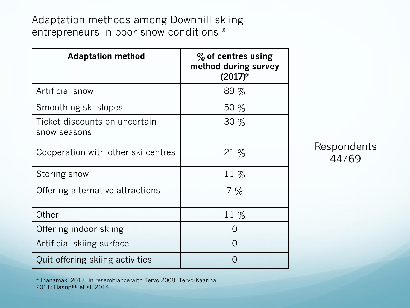Adaptation methods among Downhill skiing entrepreneurs in poor snow conditions \*

| <b>Adaptation method</b>                      | $\%$ of centres using<br>method during survey<br>$(2017)^{*}$ |
|-----------------------------------------------|---------------------------------------------------------------|
| Artificial snow                               | 89%                                                           |
| Smoothing ski slopes                          | 50 $%$                                                        |
| Ticket discounts on uncertain<br>snow seasons | 30%                                                           |
| Cooperation with other ski centres            | $21\%$                                                        |
| Storing snow                                  | 11 $%$                                                        |
| Offering alternative attractions              | $7\%$                                                         |
| Other                                         | $11\%$                                                        |
| Offering indoor skiing                        |                                                               |
| Artificial skiing surface                     | $\left( \right)$                                              |
| Quit offering skiing activities               |                                                               |

Respondents 44/69

\* Ihanamäki 2017, in resemblance with Tervo 2008; Tervo-Kaarina 2011; Haanpää et al. 2014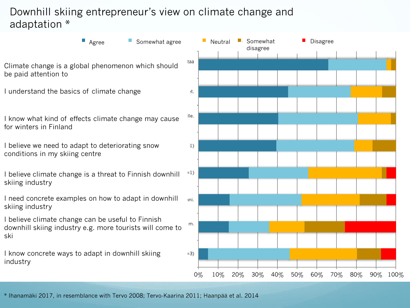#### Downhill skiing entrepreneur's view on climate change and adaptation \*



\* Ihanamäki 2017, in resemblance with Tervo 2008; Tervo-Kaarina 2011; Haanpää et al. 2014

0% 10% 20% 30% 40% 50% 60% 70% 80% 90% 100%

Disagree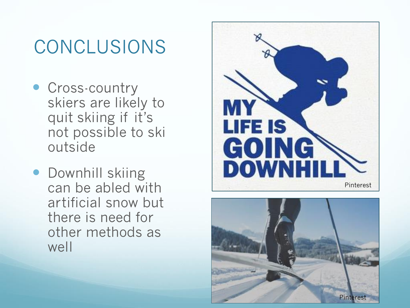## CONCLUSIONS

- **Cross-country** skiers are likely to quit skiing if it's not possible to ski outside
- **Downhill skiing** can be abled with artificial snow but there is need for other methods as well